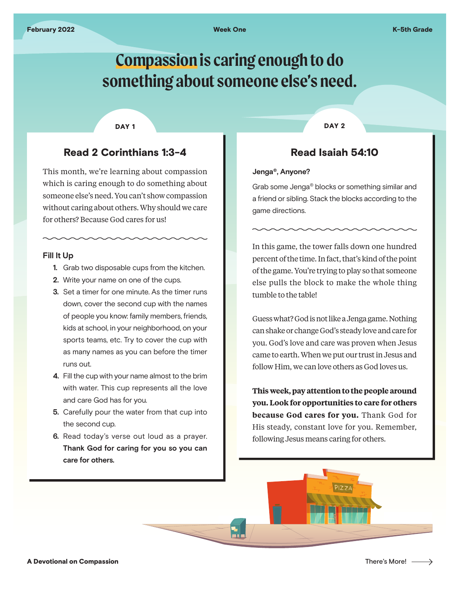# **Compassion is caring enough to do something about someone else's need.**

۳.

#### DAY<sub>1</sub>

## Read 2 Corinthians 1:3-4

This month, we're learning about compassion which is caring enough to do something about someone else's need. You can't show compassion without caring about others. Why should we care for others? Because God cares for us!

#### **Fill It Up**

- **1.** Grab two disposable cups from the kitchen.
- **2.** Write your name on one of the cups.
- **3.** Set a timer for one minute. As the timer runs down, cover the second cup with the names of people you know: family members, friends, kids at school, in your neighborhood, on your sports teams, etc. Try to cover the cup with as many names as you can before the timer runs out.
- **4.** Fill the cup with your name almost to the brim with water. This cup represents all the love and care God has for you.
- **5.** Carefully pour the water from that cup into the second cup.
- **6.** Read today's verse out loud as a prayer. **Thank God for caring for you so you can care for others.**

DAY<sub>2</sub>

## Read Isaiah 54:10

#### **Jenga®, Anyone?**

Grab some Jenga® blocks or something similar and a friend or sibling. Stack the blocks according to the game directions.

In this game, the tower falls down one hundred percent of the time. In fact, that's kind of the point of the game. You're trying to play so that someone else pulls the block to make the whole thing tumble to the table!

Guess what? God is not like a Jenga game. Nothing can shake or change God's steady love and care for you. God's love and care was proven when Jesus came to earth. When we put our trust in Jesus and follow Him, we can love others as God loves us.

**This week, pay attention to the people around you. Look for opportunities to care for others because God cares for you.** Thank God for His steady, constant love for you. Remember, following Jesus means caring for others.